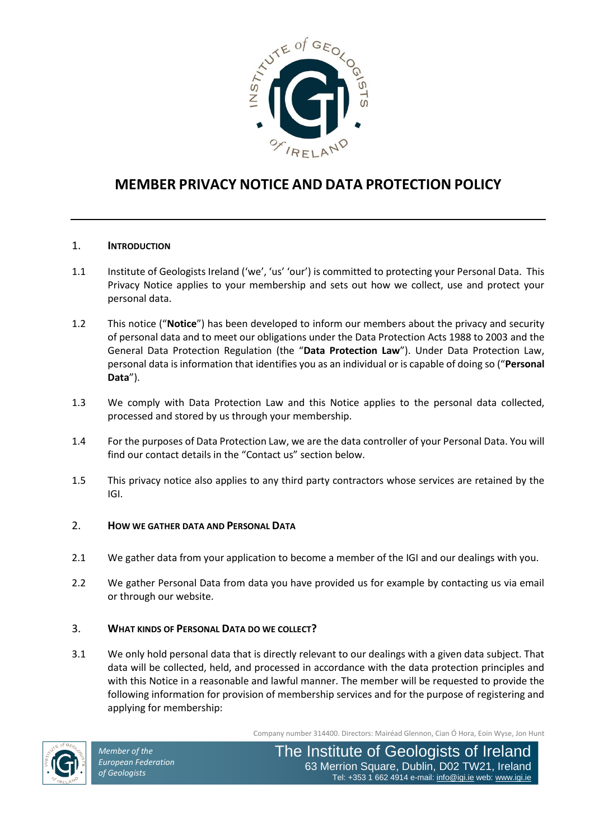

# **MEMBER PRIVACY NOTICE AND DATA PROTECTION POLICY**

## 1. **INTRODUCTION**

- 1.1 Institute of Geologists Ireland ('we', 'us' 'our') is committed to protecting your Personal Data. This Privacy Notice applies to your membership and sets out how we collect, use and protect your personal data.
- 1.2 This notice ("**Notice**") has been developed to inform our members about the privacy and security of personal data and to meet our obligations under the Data Protection Acts 1988 to 2003 and the General Data Protection Regulation (the "**Data Protection Law**"). Under Data Protection Law, personal data is information that identifies you as an individual or is capable of doing so ("**Personal Data**").
- 1.3 We comply with Data Protection Law and this Notice applies to the personal data collected, processed and stored by us through your membership.
- 1.4 For the purposes of Data Protection Law, we are the data controller of your Personal Data. You will find our contact details in the "Contact us" section below.
- 1.5 This privacy notice also applies to any third party contractors whose services are retained by the IGI.

#### 2. **HOW WE GATHER DATA AND PERSONAL DATA**

- 2.1 We gather data from your application to become a member of the IGI and our dealings with you.
- 2.2 We gather Personal Data from data you have provided us for example by contacting us via email or through our website.

#### 3. **WHAT KINDS OF PERSONAL DATA DO WE COLLECT?**

3.1 We only hold personal data that is directly relevant to our dealings with a given data subject. That data will be collected, held, and processed in accordance with the data protection principles and with this Notice in a reasonable and lawful manner. The member will be requested to provide the following information for provision of membership services and for the purpose of registering and applying for membership:

Company number 314400. Directors: Mairéad Glennon, Cian Ó Hora, Eoin Wyse, Jon Hunt

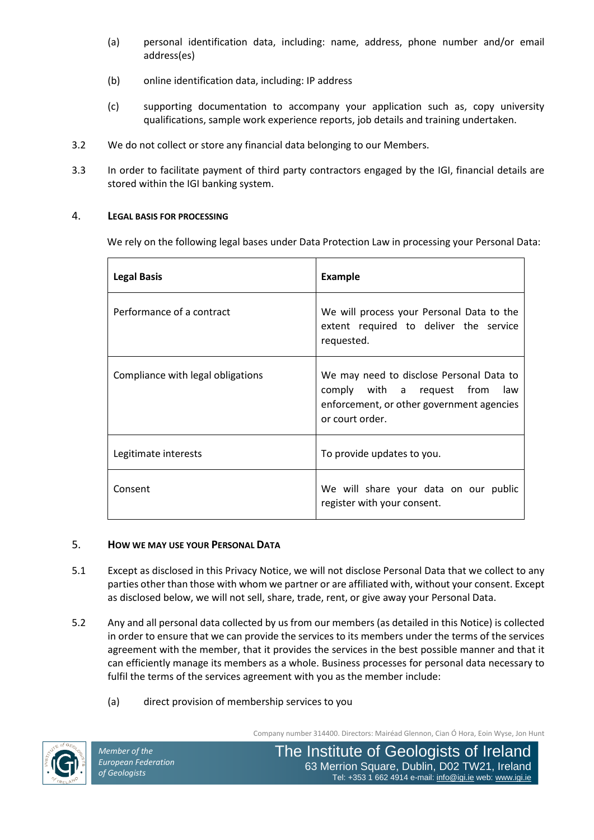- (a) personal identification data, including: name, address, phone number and/or email address(es)
- (b) online identification data, including: IP address
- (c) supporting documentation to accompany your application such as, copy university qualifications, sample work experience reports, job details and training undertaken.
- 3.2 We do not collect or store any financial data belonging to our Members.
- 3.3 In order to facilitate payment of third party contractors engaged by the IGI, financial details are stored within the IGI banking system.

# 4. **LEGAL BASIS FOR PROCESSING**

We rely on the following legal bases under Data Protection Law in processing your Personal Data:

| <b>Legal Basis</b>                | <b>Example</b>                                                                                                                                |
|-----------------------------------|-----------------------------------------------------------------------------------------------------------------------------------------------|
| Performance of a contract         | We will process your Personal Data to the<br>extent required to deliver the service<br>requested.                                             |
| Compliance with legal obligations | We may need to disclose Personal Data to<br>comply with a request from<br>law<br>enforcement, or other government agencies<br>or court order. |
| Legitimate interests              | To provide updates to you.                                                                                                                    |
| Consent                           | We will share your data on our public<br>register with your consent.                                                                          |

# 5. **HOW WE MAY USE YOUR PERSONAL DATA**

- 5.1 Except as disclosed in this Privacy Notice, we will not disclose Personal Data that we collect to any parties other than those with whom we partner or are affiliated with, without your consent. Except as disclosed below, we will not sell, share, trade, rent, or give away your Personal Data.
- 5.2 Any and all personal data collected by us from our members (as detailed in this Notice) is collected in order to ensure that we can provide the services to its members under the terms of the services agreement with the member, that it provides the services in the best possible manner and that it can efficiently manage its members as a whole. Business processes for personal data necessary to fulfil the terms of the services agreement with you as the member include:
	- (a) direct provision of membership services to you

Company number 314400. Directors: Mairéad Glennon, Cian Ó Hora, Eoin Wyse, Jon Hunt

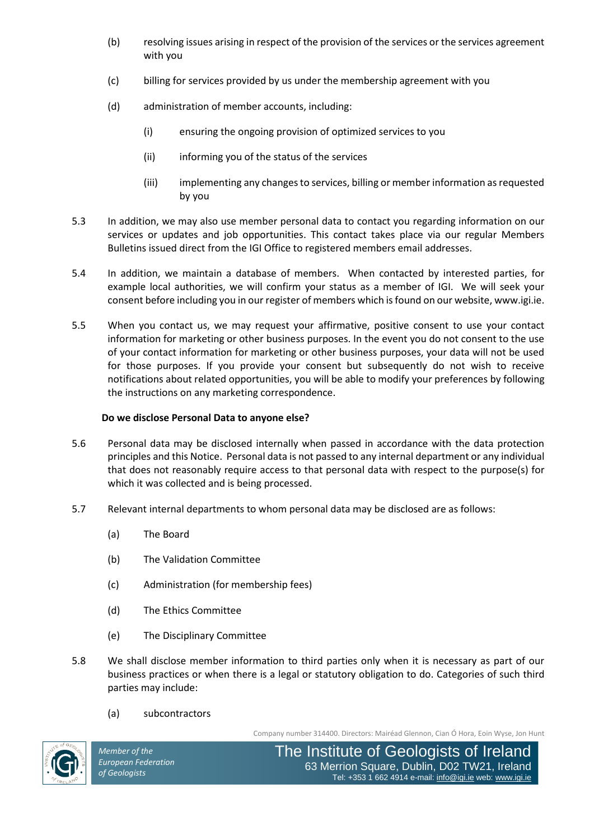- (b) resolving issues arising in respect of the provision of the services or the services agreement with you
- (c) billing for services provided by us under the membership agreement with you
- (d) administration of member accounts, including:
	- (i) ensuring the ongoing provision of optimized services to you
	- (ii) informing you of the status of the services
	- (iii) implementing any changes to services, billing or member information as requested by you
- 5.3 In addition, we may also use member personal data to contact you regarding information on our services or updates and job opportunities. This contact takes place via our regular Members Bulletins issued direct from the IGI Office to registered members email addresses.
- 5.4 In addition, we maintain a database of members. When contacted by interested parties, for example local authorities, we will confirm your status as a member of IGI. We will seek your consent before including you in our register of members which is found on our website, www.igi.ie.
- 5.5 When you contact us, we may request your affirmative, positive consent to use your contact information for marketing or other business purposes. In the event you do not consent to the use of your contact information for marketing or other business purposes, your data will not be used for those purposes. If you provide your consent but subsequently do not wish to receive notifications about related opportunities, you will be able to modify your preferences by following the instructions on any marketing correspondence.

## **Do we disclose Personal Data to anyone else?**

- 5.6 Personal data may be disclosed internally when passed in accordance with the data protection principles and this Notice. Personal data is not passed to any internal department or any individual that does not reasonably require access to that personal data with respect to the purpose(s) for which it was collected and is being processed.
- 5.7 Relevant internal departments to whom personal data may be disclosed are as follows:
	- (a) The Board
	- (b) The Validation Committee
	- (c) Administration (for membership fees)
	- (d) The Ethics Committee
	- (e) The Disciplinary Committee
- 5.8 We shall disclose member information to third parties only when it is necessary as part of our business practices or when there is a legal or statutory obligation to do. Categories of such third parties may include:
	- (a) subcontractors

Company number 314400. Directors: Mairéad Glennon, Cian Ó Hora, Eoin Wyse, Jon Hunt

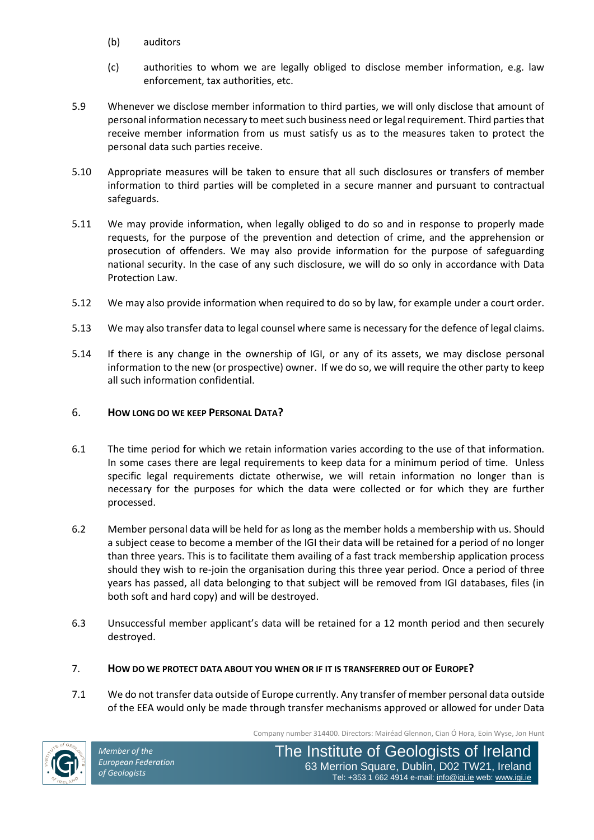- (b) auditors
- (c) authorities to whom we are legally obliged to disclose member information, e.g. law enforcement, tax authorities, etc.
- 5.9 Whenever we disclose member information to third parties, we will only disclose that amount of personal information necessary to meet such business need or legal requirement. Third parties that receive member information from us must satisfy us as to the measures taken to protect the personal data such parties receive.
- 5.10 Appropriate measures will be taken to ensure that all such disclosures or transfers of member information to third parties will be completed in a secure manner and pursuant to contractual safeguards.
- 5.11 We may provide information, when legally obliged to do so and in response to properly made requests, for the purpose of the prevention and detection of crime, and the apprehension or prosecution of offenders. We may also provide information for the purpose of safeguarding national security. In the case of any such disclosure, we will do so only in accordance with Data Protection Law.
- 5.12 We may also provide information when required to do so by law, for example under a court order.
- 5.13 We may also transfer data to legal counsel where same is necessary for the defence of legal claims.
- 5.14 If there is any change in the ownership of IGI, or any of its assets, we may disclose personal information to the new (or prospective) owner. If we do so, we will require the other party to keep all such information confidential.

# 6. **HOW LONG DO WE KEEP PERSONAL DATA?**

- 6.1 The time period for which we retain information varies according to the use of that information. In some cases there are legal requirements to keep data for a minimum period of time. Unless specific legal requirements dictate otherwise, we will retain information no longer than is necessary for the purposes for which the data were collected or for which they are further processed.
- 6.2 Member personal data will be held for as long as the member holds a membership with us. Should a subject cease to become a member of the IGI their data will be retained for a period of no longer than three years. This is to facilitate them availing of a fast track membership application process should they wish to re-join the organisation during this three year period. Once a period of three years has passed, all data belonging to that subject will be removed from IGI databases, files (in both soft and hard copy) and will be destroyed.
- 6.3 Unsuccessful member applicant's data will be retained for a 12 month period and then securely destroyed.
- 7. **HOW DO WE PROTECT DATA ABOUT YOU WHEN OR IF IT IS TRANSFERRED OUT OF EUROPE?**
- 7.1 We do not transfer data outside of Europe currently. Any transfer of member personal data outside of the EEA would only be made through transfer mechanisms approved or allowed for under Data

Company number 314400. Directors: Mairéad Glennon, Cian Ó Hora, Eoin Wyse, Jon Hunt

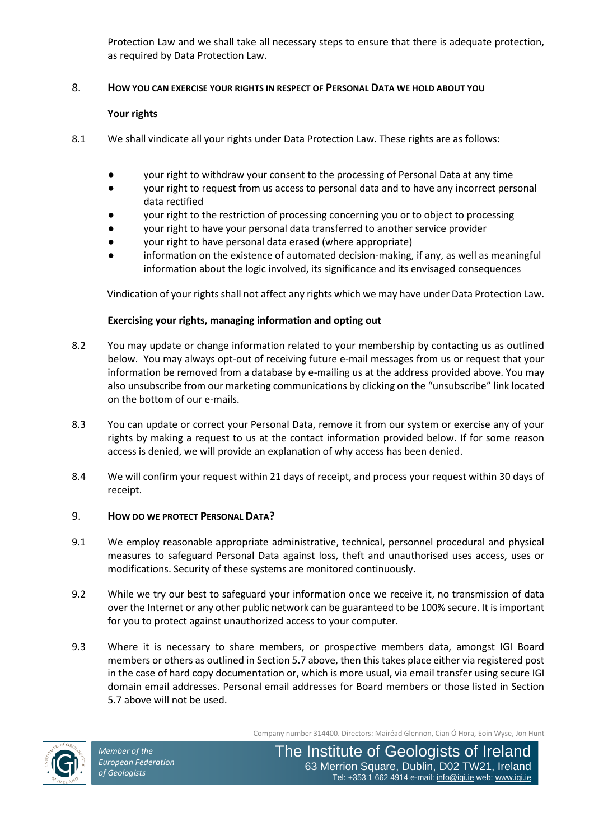Protection Law and we shall take all necessary steps to ensure that there is adequate protection, as required by Data Protection Law.

#### 8. **HOW YOU CAN EXERCISE YOUR RIGHTS IN RESPECT OF PERSONAL DATA WE HOLD ABOUT YOU**

## **Your rights**

- 8.1 We shall vindicate all your rights under Data Protection Law. These rights are as follows:
	- your right to withdraw your consent to the processing of Personal Data at any time
	- your right to request from us access to personal data and to have any incorrect personal data rectified
	- your right to the restriction of processing concerning you or to object to processing
	- your right to have your personal data transferred to another service provider
	- your right to have personal data erased (where appropriate)
	- information on the existence of automated decision-making, if any, as well as meaningful information about the logic involved, its significance and its envisaged consequences

Vindication of your rights shall not affect any rights which we may have under Data Protection Law.

## **Exercising your rights, managing information and opting out**

- 8.2 You may update or change information related to your membership by contacting us as outlined below. You may always opt-out of receiving future e-mail messages from us or request that your information be removed from a database by e-mailing us at the address provided above. You may also unsubscribe from our marketing communications by clicking on the "unsubscribe" link located on the bottom of our e-mails.
- 8.3 You can update or correct your Personal Data, remove it from our system or exercise any of your rights by making a request to us at the contact information provided below. If for some reason access is denied, we will provide an explanation of why access has been denied.
- 8.4 We will confirm your request within 21 days of receipt, and process your request within 30 days of receipt.

#### 9. **HOW DO WE PROTECT PERSONAL DATA?**

- 9.1 We employ reasonable appropriate administrative, technical, personnel procedural and physical measures to safeguard Personal Data against loss, theft and unauthorised uses access, uses or modifications. Security of these systems are monitored continuously.
- 9.2 While we try our best to safeguard your information once we receive it, no transmission of data over the Internet or any other public network can be guaranteed to be 100% secure. It is important for you to protect against unauthorized access to your computer.
- 9.3 Where it is necessary to share members, or prospective members data, amongst IGI Board members or others as outlined in Section 5.7 above, then this takes place either via registered post in the case of hard copy documentation or, which is more usual, via email transfer using secure IGI domain email addresses. Personal email addresses for Board members or those listed in Section 5.7 above will not be used.

Company number 314400. Directors: Mairéad Glennon, Cian Ó Hora, Eoin Wyse, Jon Hunt